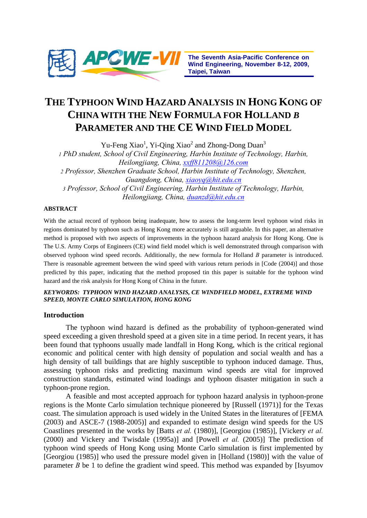

# **THE TYPHOON WIND HAZARD ANALYSIS IN HONG KONG OF CHINA WITH THE NEW FORMULA FOR HOLLAND** *B* **PARAMETER AND THE CE WIND FIELD MODEL**

Yu-Feng Xiao<sup>1</sup>, Yi-Qing Xiao<sup>2</sup> and Zhong-Dong Duan<sup>3</sup> *1 PhD student, School of Civil Engineering, Harbin Institute of Technology, Harbin, Heilongjiang, China, xxff811208@126.com 2 Professor, Shenzhen Graduate School, Harbin Institute of Technology, Shenzhen, Guangdong, China, xiaoyq@hit.edu.cn 3 Professor, School of Civil Engineering, Harbin Institute of Technology, Harbin, Heilongjiang, China, duanzd@hit.edu.cn*

# **ABSTRACT**

With the actual record of typhoon being inadequate, how to assess the long-term level typhoon wind risks in regions dominated by typhoon such as Hong Kong more accurately is still arguable. In this paper, an alternative method is proposed with two aspects of improvements in the typhoon hazard analysis for Hong Kong. One is The U.S. Army Corps of Engineers (CE) wind field model which is well demonstrated through comparison with observed typhoon wind speed records. Additionally, the new formula for Holland *B* parameter is introduced. There is reasonable agreement between the wind speed with various return periods in [Code (2004)] and those predicted by this paper, indicating that the method proposed tin this paper is suitable for the typhoon wind hazard and the risk analysis for Hong Kong of China in the future.

## *KEYWORDS: TYPHOON WIND HAZARD ANALYSIS, CE WINDFIELD MODEL, EXTREME WIND SPEED, MONTE CARLO SIMULATION, HONG KONG*

# **Introduction**

The typhoon wind hazard is defined as the probability of typhoon-generated wind speed exceeding a given threshold speed at a given site in a time period. In recent years, it has been found that typhoons usually made landfall in Hong Kong, which is the critical regional economic and political center with high density of population and social wealth and has a high density of tall buildings that are highly susceptible to typhoon induced damage. Thus, assessing typhoon risks and predicting maximum wind speeds are vital for improved construction standards, estimated wind loadings and typhoon disaster mitigation in such a typhoon-prone region.

A feasible and most accepted approach for typhoon hazard analysis in typhoon-prone regions is the Monte Carlo simulation technique pioneered by [Russell (1971)] for the Texas coast. The simulation approach is used widely in the United States in the literatures of [FEMA (2003) and ASCE-7 (1988-2005)] and expanded to estimate design wind speeds for the US Coastlines presented in the works by [Batts *et al.* (1980)], [Georgiou (1985)], [Vickery *et al.* (2000) and Vickery and Twisdale (1995a)] and [Powell *et al.* (2005)] The prediction of typhoon wind speeds of Hong Kong using Monte Carlo simulation is first implemented by [Georgiou (1985)] who used the pressure model given in [Holland (1980)] with the value of parameter *B* be 1 to define the gradient wind speed. This method was expanded by [Isyumov]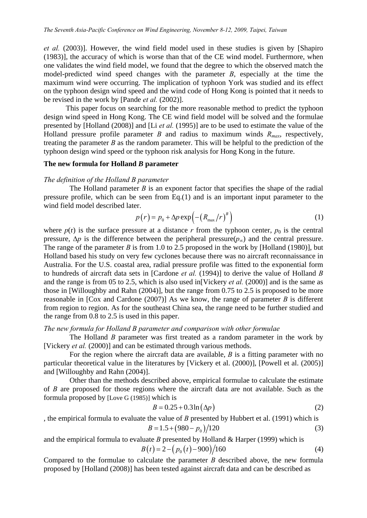*et al.* (2003)]. However, the wind field model used in these studies is given by [Shapiro (1983)], the accuracy of which is worse than that of the CE wind model. Furthermore, when one validates the wind field model, we found that the degree to which the observed match the model-predicted wind speed changes with the parameter *B*, especially at the time the maximum wind were occurring. The implication of typhoon York was studied and its effect on the typhoon design wind speed and the wind code of Hong Kong is pointed that it needs to be revised in the work by [Pande *et al.* (2002)].

This paper focus on searching for the more reasonable method to predict the typhoon design wind speed in Hong Kong. The CE wind field model will be solved and the formulae presented by [Holland (2008)] and [Li *et al.* (1995)] are to be used to estimate the value of the Holland pressure profile parameter *B* and radius to maximum winds  $R_{max}$ , respectively, treating the parameter *B* as the random parameter. This will be helpful to the prediction of the typhoon design wind speed or the typhoon risk analysis for Hong Kong in the future.

#### **The new formula for Holland** *B* **parameter**

## *The definition of the Holland B parameter*

The Holland parameter *B* is an exponent factor that specifies the shape of the radial pressure profile, which can be seen from Eq.(1) and is an important input parameter to the wind field model described later.

$$
p(r) = p_0 + \Delta p \exp\left(-\left(R_{\text{max}}/r\right)^B\right) \tag{1}
$$

where  $p(r)$  is the surface pressure at a distance r from the typhoon center,  $p_0$  is the central pressure,  $\Delta p$  is the difference between the peripheral pressure( $p_{\infty}$ ) and the central pressure. The range of the parameter *B* is from 1.0 to 2.5 proposed in the work by [Holland (1980)], but Holland based his study on very few cyclones because there was no aircraft reconnaissance in Australia. For the U.S. coastal area, radial pressure profile was fitted to the exponential form to hundreds of aircraft data sets in [Cardone *et al.* (1994)] to derive the value of Holland *B* and the range is from 05 to 2.5, which is also used in[Vickery *et al.* (2000)] and is the same as those in [Willoughby and Rahn (2004)], but the range from 0.75 to 2.5 is proposed to be more reasonable in [Cox and Cardone (2007)] As we know, the range of parameter *B* is different from region to region. As for the southeast China sea, the range need to be further studied and the range from 0.8 to 2.5 is used in this paper.

# *The new formula for Holland B parameter and comparison with other formulae*

The Holland *B* parameter was first treated as a random parameter in the work by [Vickery *et al.* (2000)] and can be estimated through various methods.

For the region where the aircraft data are available, *B* is a fitting parameter with no particular theoretical value in the literatures by [Vickery et al. (2000)], [Powell et al. (2005)] and [Willoughby and Rahn (2004)].

Other than the methods described above, empirical formulae to calculate the estimate of *B* are proposed for those regions where the aircraft data are not available. Such as the formula proposed by [Love G (1985)] which is

$$
B = 0.25 + 0.3\ln\left(\Delta p\right) \tag{2}
$$

, the empirical formula to evaluate the value of *B* presented by Hubbert et al. (1991) which is

$$
B = 1.5 + (980 - p_0)/120\tag{3}
$$

and the empirical formula to evaluate *B* presented by Holland  $\&$  Harper (1999) which is

$$
B(t) = 2 - (p_0(t) - 900)/160
$$
 (4)

Compared to the formulae to calculate the parameter *B* described above, the new formula proposed by [Holland (2008)] has been tested against aircraft data and can be described as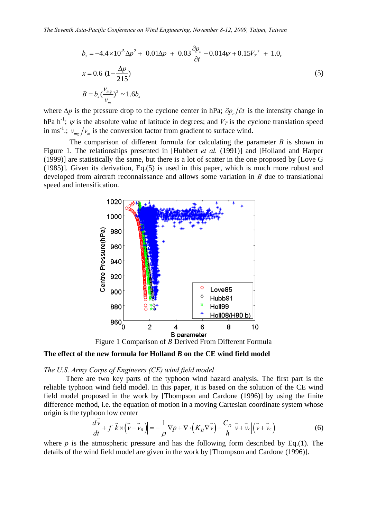$$
b_s = -4.4 \times 10^{-5} \Delta p^2 + 0.01 \Delta p + 0.03 \frac{\partial p_c}{\partial t} - 0.014 \psi + 0.15 V_T^{\prime \prime} + 1.0,
$$
  
\n
$$
x = 0.6 \left(1 - \frac{\Delta p}{215}\right)
$$
  
\n
$$
B = b_s \left(\frac{v_{mg}}{v_m}\right)^2 \sim 1.6 b_s
$$
\n(5)

where  $\Delta p$  is the pressure drop to the cyclone center in hPa;  $\partial p$  ∂*d* is the intensity change in hPa h<sup>-1</sup>;  $\psi$  is the absolute value of latitude in degrees; and  $V_T$  is the cyclone translation speed in ms<sup>-1</sup>.;  $v_{mg}/v_m$  is the conversion factor from gradient to surface wind.

The comparison of different formula for calculating the parameter *B* is shown in Figure 1. The relationships presented in [Hubbert *et al.* (1991)] and [Holland and Harper (1999)] are statistically the same, but there is a lot of scatter in the one proposed by [Love G (1985)]. Given its derivation, Eq.(5) is used in this paper, which is much more robust and developed from aircraft reconnaissance and allows some variation in *B* due to translational speed and intensification.



Figure 1 Comparison of *B* Derived From Different Formula

# **The effect of the new formula for Holland** *B* **on the CE wind field model**

#### *The U.S. Army Corps of Engineers (CE) wind field model*

There are two key parts of the typhoon wind hazard analysis. The first part is the reliable typhoon wind field model. In this paper, it is based on the solution of the CE wind field model proposed in the work by [Thompson and Cardone (1996)] by using the finite difference method, i.e. the equation of motion in a moving Cartesian coordinate system whose origin is the typhoon low center

$$
\frac{d\vec{v}}{dt} + f\left|\vec{k}\times(\vec{v}-\vec{v}_g)\right| = -\frac{1}{\rho}\nabla p + \nabla\cdot\left(K_H\nabla\vec{v}\right) - \frac{C_D}{h}\left|\vec{v}+\vec{v}_c\right|\left(\vec{v}+\vec{v}_c\right)
$$
(6)

where  $p$  is the atmospheric pressure and has the following form described by Eq.(1). The details of the wind field model are given in the work by [Thompson and Cardone (1996)].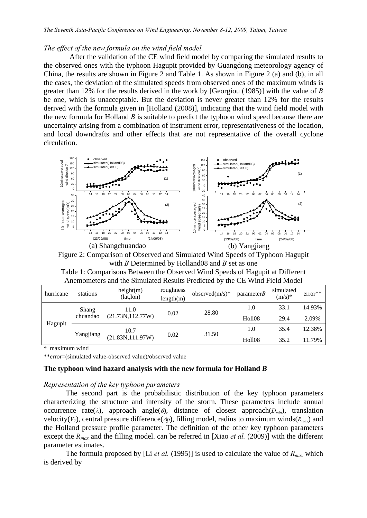## *The effect of the new formula on the wind field model*

After the validation of the CE wind field model by comparing the simulated results to the observed ones with the typhoon Hagupit provided by Guangdong meteorology agency of China, the results are shown in Figure 2 and Table 1. As shown in Figure 2 (a) and (b), in all the cases, the deviation of the simulated speeds from observed ones of the maximum winds is greater than 12% for the results derived in the work by [Georgiou (1985)] with the value of *B*  be one, which is unacceptable. But the deviation is never greater than 12% for the results derived with the formula given in [Holland (2008)], indicating that the wind field model with the new formula for Holland *B* is suitable to predict the typhoon wind speed because there are uncertainty arising from a combination of instrument error, representativeness of the location, and local downdrafts and other effects that are not representative of the overall cyclone circulation.



Figure 2: Comparison of Observed and Simulated Wind Speeds of Typhoon Hagupit with *B* Determined by Holland08 and *B* set as one

| Table 1: Comparisons Between the Observed Wind Speeds of Hagupit at Different |  |
|-------------------------------------------------------------------------------|--|
| Anemometers and the Simulated Results Predicted by the CE Wind Field Model    |  |

| hurricane | stations          | height(m)<br>(lat,lon) | roughness<br>length(m) | observed $(m/s)^*$            | parameterB    | simulated<br>$(m/s)^*$ | $error**$ |
|-----------|-------------------|------------------------|------------------------|-------------------------------|---------------|------------------------|-----------|
| Hagupit   | Shang<br>chuandao | 11.0                   |                        | 28.80<br>0.02                 | 1.0           | 33.1                   | 14.93%    |
|           |                   | (21.73N, 112.77W)      |                        |                               | <b>Holl08</b> | 29.4                   | 2.09%     |
|           | Yangjiang         | 10.7                   |                        | 1.0<br>31.50<br><b>Holl08</b> | 35.4          | 12.38%                 |           |
|           |                   | (21.83N, 111.97W)      | 0.02                   |                               |               | 35.2                   | 11.79%    |

maximum wind

\*\*error=(simulated value-observed value)/observed value

## **The typhoon wind hazard analysis with the new formula for Holland** *B*

## *Representation of the key typhoon parameters*

The second part is the probabilistic distribution of the key typhoon parameters characterizing the structure and intensity of the storm. These parameters include annual occurrence rate(λ), approach angle( $θ$ ), distance of closest approach( $D_{min}$ ), translation velocity( $V_T$ ), central pressure difference( $\Delta p$ ), filling model, radius to maximum winds( $R_{max}$ ) and the Holland pressure profile parameter. The definition of the other key typhoon parameters except the *Rmax* and the filling model. can be referred in [Xiao *et al.* (2009)] with the different parameter estimates.

The formula proposed by [Li *et al.* (1995)] is used to calculate the value of *Rmax* which is derived by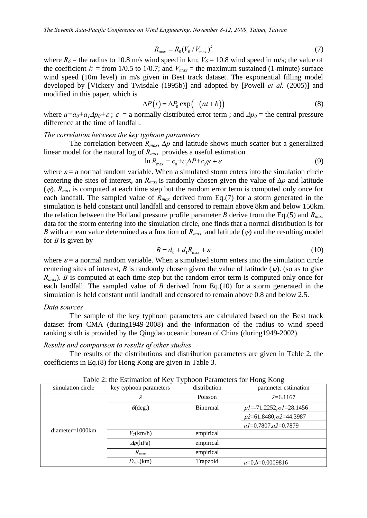$$
R_{\text{max}} = R_6 (V_6 / V_{\text{max}})^k
$$
 (7)

where  $R_6$  = the radius to 10.8 m/s wind speed in km;  $V_6$  = 10.8 wind speed in m/s; the value of the coefficient  $k =$  from 1/0.5 to 1/0.7; and  $V_{max} =$  the maximum sustained (1-minute) surface wind speed (10m level) in m/s given in Best track dataset. The exponential filling model developed by [Vickery and Twisdale (1995b)] and adopted by [Powell *et al.* (2005)] and modified in this paper, which is

$$
\Delta P(t) = \Delta P_0 \exp(-(at+b))\tag{8}
$$

where  $a=a_0+a_1\Delta p_0+\varepsilon$ ;  $\varepsilon =$  a normally distributed error term; and  $\Delta p_0$  = the central pressure difference at the time of landfall.

## *The correlation between the key typhoon parameters*

The correlation between  $R_{max}$ ,  $\Delta p$  and latitude shows much scatter but a generalized linear model for the natural log of *Rmax* provides a useful estimation

$$
\ln R_{\text{max}} = c_0 + c_1 \Delta P + c_2 \psi + \varepsilon \tag{9}
$$

where  $\varepsilon$  = a normal random variable. When a simulated storm enters into the simulation circle centering the sites of interest, an  $R_{max}$  is randomly chosen given the value of  $\Delta p$  and latitude ( $\psi$ ).  $R_{max}$  is computed at each time step but the random error term is computed only once for each landfall. The sampled value of  $R_{max}$  derived from Eq.(7) for a storm generated in the simulation is held constant until landfall and censored to remain above 8km and below 150km. the relation between the Holland pressure profile parameter *B* derive from the Eq.(5) and *Rmax* data for the storm entering into the simulation circle, one finds that a normal distribution is for *B* with a mean value determined as a function of  $R_{max}$  and latitude ( $\psi$ ) and the resulting model for *B* is given by

$$
B = d_0 + d_1 R_{\text{max}} + \varepsilon \tag{10}
$$

where  $\varepsilon$  = a normal random variable. When a simulated storm enters into the simulation circle centering sites of interest, *B* is randomly chosen given the value of latitude ( $\psi$ ). (so as to give *R<sub>max</sub>*). *B* is computed at each time step but the random error term is computed only once for each landfall. The sampled value of *B* derived from Eq.(10) for a storm generated in the simulation is held constant until landfall and censored to remain above 0.8 and below 2.5.

#### *Data sources*

The sample of the key typhoon parameters are calculated based on the Best track dataset from CMA (during1949-2008) and the information of the radius to wind speed ranking sixth is provided by the Qingdao oceanic bureau of China (during1949-2002).

## *Results and comparison to results of other studies*

The results of the distributions and distribution parameters are given in Table 2, the coefficients in Eq.(8) for Hong Kong are given in Table 3.

| simulation circle | key typhoon parameters             | distribution | parameter estimation                 |
|-------------------|------------------------------------|--------------|--------------------------------------|
|                   | $\lambda$                          | Poisson      | $\lambda = 6.1167$                   |
|                   | $\theta$ (deg.)<br><b>Binormal</b> |              | $\mu$ l=-71.2252, $\sigma$ l=28.1456 |
| $diameter=1000km$ |                                    |              | $\mu$ 2=61.8480, $\sigma$ 2=44.3987  |
|                   |                                    |              | $aI = 0.7807, a2 = 0.7879$           |
|                   | $V_T(km/h)$                        | empirical    |                                      |
|                   | $\Delta p(hPa)$                    | empirical    |                                      |
|                   | $R_{max}$                          | empirical    |                                      |
|                   | $D_{min}(\rm{km})$                 | Trapzoid     | $a=0, b=0.0009816$                   |

Table 2: the Estimation of Key Typhoon Parameters for Hong Kong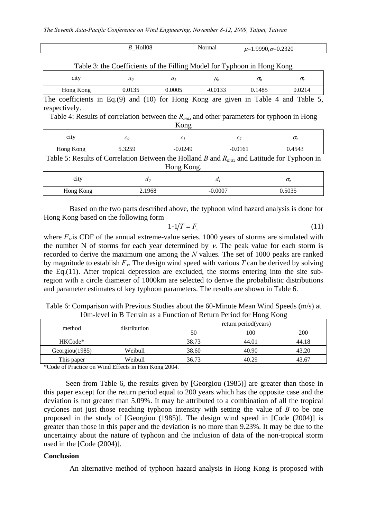|                                                                                                        | $B$ _Holl08    |                | Normal         | $\mu=1.9990, \sigma=0.2320$ |            |  |  |
|--------------------------------------------------------------------------------------------------------|----------------|----------------|----------------|-----------------------------|------------|--|--|
| Table 3: the Coefficients of the Filling Model for Typhoon in Hong Kong                                |                |                |                |                             |            |  |  |
| city                                                                                                   | a <sub>0</sub> | a <sub>l</sub> | $\mu_b$        | $\sigma_b$                  | $\sigma_z$ |  |  |
| Hong Kong                                                                                              | 0.0135         | 0.0005         | $-0.0133$      | 0.1485                      | 0.0214     |  |  |
| The coefficients in Eq. (9) and (10) for Hong Kong are given in Table 4 and Table 5,                   |                |                |                |                             |            |  |  |
| respectively.                                                                                          |                |                |                |                             |            |  |  |
| Table 4: Results of correlation between the $R_{max}$ and other parameters for typhoon in Hong<br>Kong |                |                |                |                             |            |  |  |
| city                                                                                                   | $c_0$          | c <sub>1</sub> |                | c <sub>2</sub>              | $\sigma_z$ |  |  |
| Hong Kong                                                                                              | 5.3259         | $-0.0249$      |                | $-0.0161$                   | 0.4543     |  |  |
| Table 5: Results of Correlation Between the Holland B and $R_{max}$ and Latitude for Typhoon in        |                |                |                |                             |            |  |  |
| Hong Kong.                                                                                             |                |                |                |                             |            |  |  |
| city                                                                                                   | $d_0$          |                | d <sub>I</sub> |                             | $\sigma_z$ |  |  |
| Hong Kong                                                                                              | 2.1968         |                | $-0.0007$      |                             | 0.5035     |  |  |

Based on the two parts described above, the typhoon wind hazard analysis is done for Hong Kong based on the following form

$$
1-1/T = Fv
$$
 (11)

where  $F_{\nu}$  is CDF of the annual extreme-value series. 1000 years of storms are simulated with the number N of storms for each year determined by  $v$ . The peak value for each storm is recorded to derive the maximum one among the *N* values. The set of 1000 peaks are ranked by magnitude to establish  $F_v$ . The design wind speed with various T can be derived by solving the Eq.(11). After tropical depression are excluded, the storms entering into the site subregion with a circle diameter of 1000km are selected to derive the probabilistic distributions and parameter estimates of key typhoon parameters. The results are shown in Table 6.

| Table 6: Comparison with Previous Studies about the 60-Minute Mean Wind Speeds (m/s) at |  |                                                                     |  |  |
|-----------------------------------------------------------------------------------------|--|---------------------------------------------------------------------|--|--|
|                                                                                         |  | 10m-level in B Terrain as a Function of Return Period for Hong Kong |  |  |

| method         |              | return period(years) |       |            |  |
|----------------|--------------|----------------------|-------|------------|--|
|                | distribution | 50                   | 100   | <b>200</b> |  |
| HKCode*        |              | 38.73                | 44.01 | 44.18      |  |
| Georgiou(1985) | Weibull      | 38.60                | 40.90 | 43.20      |  |
| This paper     | Weibull      | 36.73                | 40.29 | 43.67      |  |

\*Code of Practice on Wind Effects in Hon Kong 2004.

Seen from Table 6, the results given by [Georgiou (1985)] are greater than those in this paper except for the return period equal to 200 years which has the opposite case and the deviation is not greater than 5.09%. It may be attributed to a combination of all the tropical cyclones not just those reaching typhoon intensity with setting the value of *B* to be one proposed in the study of [Georgiou (1985)]. The design wind speed in [Code (2004)] is greater than those in this paper and the deviation is no more than 9.23%. It may be due to the uncertainty about the nature of typhoon and the inclusion of data of the non-tropical storm used in the [Code (2004)].

## **Conclusion**

An alternative method of typhoon hazard analysis in Hong Kong is proposed with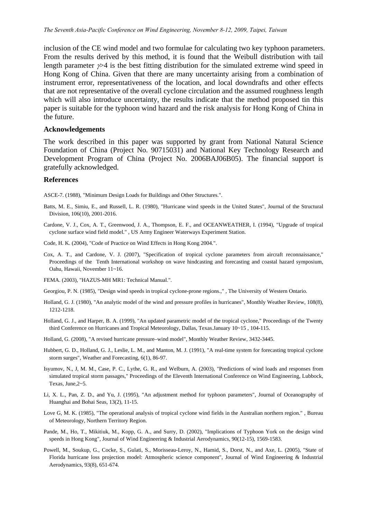inclusion of the CE wind model and two formulae for calculating two key typhoon parameters. From the results derived by this method, it is found that the Weibull distribution with tail length parameter  $\gamma$  is the best fitting distribution for the simulated extreme wind speed in Hong Kong of China. Given that there are many uncertainty arising from a combination of instrument error, representativeness of the location, and local downdrafts and other effects that are not representative of the overall cyclone circulation and the assumed roughness length which will also introduce uncertainty, the results indicate that the method proposed tin this paper is suitable for the typhoon wind hazard and the risk analysis for Hong Kong of China in the future.

## **Acknowledgements**

The work described in this paper was supported by grant from National Natural Science Foundation of China (Project No. 90715031) and National Key Technology Research and Development Program of China (Project No. 2006BAJ06B05). The financial support is gratefully acknowledged.

#### **References**

ASCE-7. (1988), "Minimum Design Loads for Buildings and Other Structures.".

- Batts, M. E., Simiu, E., and Russell, L. R. (1980), "Hurricane wind speeds in the United States", Journal of the Structural Division, 106(10), 2001-2016.
- Cardone, V. J., Cox, A. T., Greenwood, J. A., Thompson, E. F., and OCEANWEATHER, I. (1994), "Upgrade of tropical cyclone surface wind field model." , US Army Engineer Waterways Experiment Station.
- Code, H. K. (2004), "Code of Practice on Wind Effects in Hong Kong 2004.".
- Cox, A. T., and Cardone, V. J. (2007), "Specification of tropical cyclone parameters from aircraft reconnaissance," Proceedings of the Tenth International workshop on wave hindcasting and forecasting and coastal hazard symposium, Oahu, Hawaii, November 11~16.

FEMA. (2003), "HAZUS-MH MR1: Technical Manual.".

- Georgiou, P. N. (1985), "Design wind speeds in tropical cyclone-prone regions.," , The University of Western Ontario.
- Holland, G. J. (1980), "An analytic model of the wind and pressure profiles in hurricanes", Monthly Weather Review, 108(8), 1212-1218.
- Holland, G. J., and Harper, B. A. (1999), "An updated parametric model of the tropical cyclone," Proceedings of the Twenty third Conference on Hurricanes and Tropical Meteorology, Dallas, Texas.January 10~15 , 104-115.
- Holland, G. (2008), "A revised hurricane pressure–wind model", Monthly Weather Review, 3432-3445.
- Hubbert, G. D., Holland, G. J., Leslie, L. M., and Manton, M. J. (1991), "A real-time system for forecasting tropical cyclone storm surges", Weather and Forecasting, 6(1), 86-97.
- Isyumov, N., J, M. M., Case, P. C., Lythe, G. R., and Welburn, A. (2003), "Predictions of wind loads and responses from simulated tropical storm passages," Proceedings of the Eleventh International Conference on Wind Engineering, Lubbock, Texas, June,2~5.
- Li, X. L., Pan, Z. D., and Yu, J. (1995), "An adjustment method for typhoon parameters", Journal of Oceanography of Huanghai and Bohai Seas, 13(2), 11-15.
- Love G, M. K. (1985), "The operational analysis of tropical cyclone wind fields in the Australian northern region." , Bureau of Meteorology, Northern Territory Region.
- Pande, M., Ho, T., Mikitiuk, M., Kopp, G. A., and Surry, D. (2002), "Implications of Typhoon York on the design wind speeds in Hong Kong", Journal of Wind Engineering & Industrial Aerodynamics, 90(12-15), 1569-1583.
- Powell, M., Soukup, G., Cocke, S., Gulati, S., Morisseau-Leroy, N., Hamid, S., Dorst, N., and Axe, L. (2005), "State of Florida hurricane loss projection model: Atmospheric science component", Journal of Wind Engineering & Industrial Aerodynamics, 93(8), 651-674.